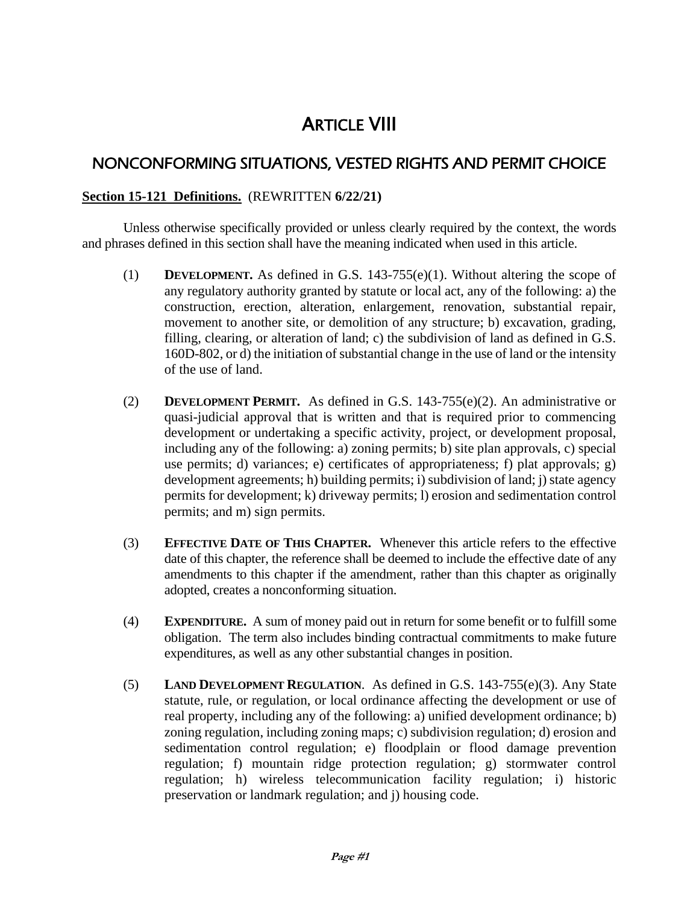# **ARTICLE VIII**

# NONCONFORMING SITUATIONS, VESTED RIGHTS AND PERMIT CHOICE

### **Section 15-121 Definitions.** (REWRITTEN **6/22/21)**

Unless otherwise specifically provided or unless clearly required by the context, the words and phrases defined in this section shall have the meaning indicated when used in this article.

- (1) **DEVELOPMENT.** As defined in G.S. 143-755(e)(1). Without altering the scope of any regulatory authority granted by statute or local act, any of the following: a) the construction, erection, alteration, enlargement, renovation, substantial repair, movement to another site, or demolition of any structure; b) excavation, grading, filling, clearing, or alteration of land; c) the subdivision of land as defined in G.S. 160D-802, or d) the initiation of substantial change in the use of land or the intensity of the use of land.
- (2) **DEVELOPMENT PERMIT.** As defined in G.S. 143-755(e)(2). An administrative or quasi-judicial approval that is written and that is required prior to commencing development or undertaking a specific activity, project, or development proposal, including any of the following: a) zoning permits; b) site plan approvals, c) special use permits; d) variances; e) certificates of appropriateness; f) plat approvals; g) development agreements; h) building permits; i) subdivision of land; j) state agency permits for development; k) driveway permits; l) erosion and sedimentation control permits; and m) sign permits.
- (3) **EFFECTIVE DATE OF THIS CHAPTER.** Whenever this article refers to the effective date of this chapter, the reference shall be deemed to include the effective date of any amendments to this chapter if the amendment, rather than this chapter as originally adopted, creates a nonconforming situation.
- (4) **EXPENDITURE.** A sum of money paid out in return for some benefit or to fulfill some obligation. The term also includes binding contractual commitments to make future expenditures, as well as any other substantial changes in position.
- (5) **LAND DEVELOPMENT REGULATION**. As defined in G.S. 143-755(e)(3). Any State statute, rule, or regulation, or local ordinance affecting the development or use of real property, including any of the following: a) unified development ordinance; b) zoning regulation, including zoning maps; c) subdivision regulation; d) erosion and sedimentation control regulation; e) floodplain or flood damage prevention regulation; f) mountain ridge protection regulation; g) stormwater control regulation; h) wireless telecommunication facility regulation; i) historic preservation or landmark regulation; and j) housing code.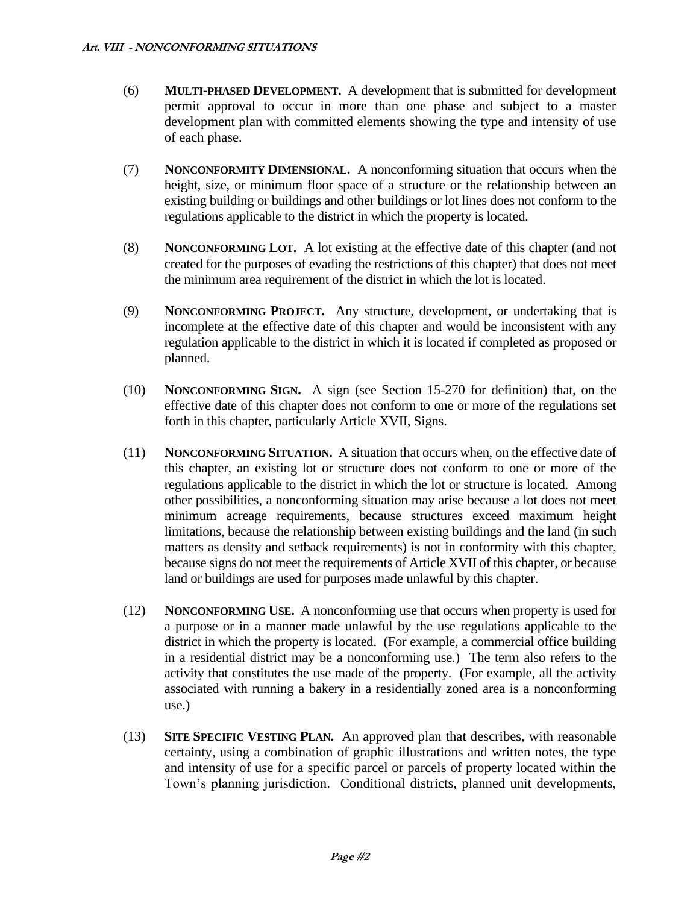- (6) **MULTI-PHASED DEVELOPMENT.** A development that is submitted for development permit approval to occur in more than one phase and subject to a master development plan with committed elements showing the type and intensity of use of each phase.
- (7) **NONCONFORMITY DIMENSIONAL.** A nonconforming situation that occurs when the height, size, or minimum floor space of a structure or the relationship between an existing building or buildings and other buildings or lot lines does not conform to the regulations applicable to the district in which the property is located.
- (8) **NONCONFORMING LOT.** A lot existing at the effective date of this chapter (and not created for the purposes of evading the restrictions of this chapter) that does not meet the minimum area requirement of the district in which the lot is located.
- (9) **NONCONFORMING PROJECT.** Any structure, development, or undertaking that is incomplete at the effective date of this chapter and would be inconsistent with any regulation applicable to the district in which it is located if completed as proposed or planned.
- (10) **NONCONFORMING SIGN.** A sign (see Section 15-270 for definition) that, on the effective date of this chapter does not conform to one or more of the regulations set forth in this chapter, particularly Article XVII, Signs.
- (11) **NONCONFORMING SITUATION.** A situation that occurs when, on the effective date of this chapter, an existing lot or structure does not conform to one or more of the regulations applicable to the district in which the lot or structure is located. Among other possibilities, a nonconforming situation may arise because a lot does not meet minimum acreage requirements, because structures exceed maximum height limitations, because the relationship between existing buildings and the land (in such matters as density and setback requirements) is not in conformity with this chapter, because signs do not meet the requirements of Article XVII of this chapter, or because land or buildings are used for purposes made unlawful by this chapter.
- (12) **NONCONFORMING USE.** A nonconforming use that occurs when property is used for a purpose or in a manner made unlawful by the use regulations applicable to the district in which the property is located. (For example, a commercial office building in a residential district may be a nonconforming use.) The term also refers to the activity that constitutes the use made of the property. (For example, all the activity associated with running a bakery in a residentially zoned area is a nonconforming use.)
- (13) **SITE SPECIFIC VESTING PLAN.** An approved plan that describes, with reasonable certainty, using a combination of graphic illustrations and written notes, the type and intensity of use for a specific parcel or parcels of property located within the Town's planning jurisdiction. Conditional districts, planned unit developments,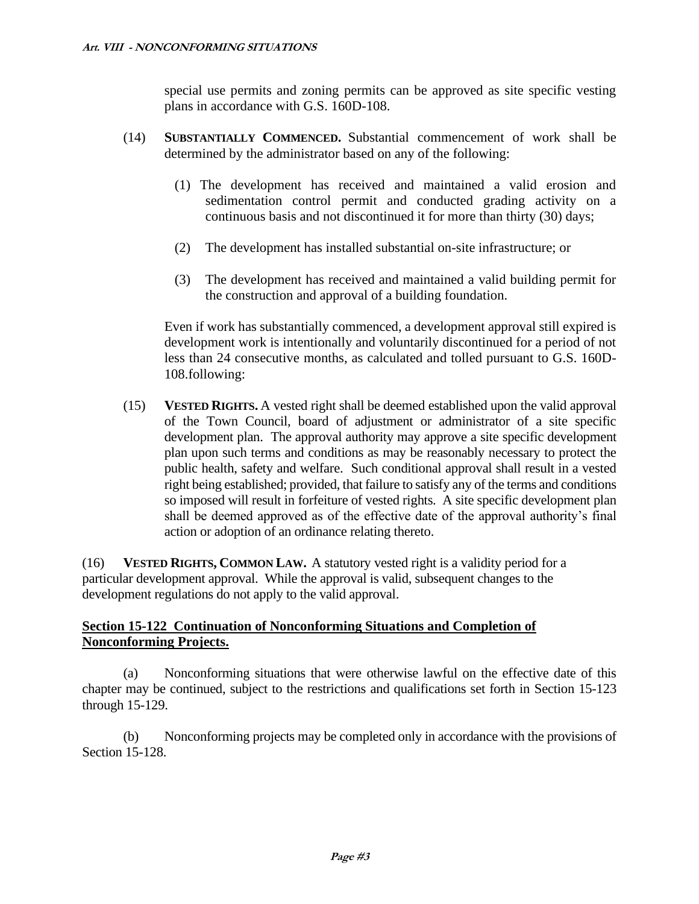special use permits and zoning permits can be approved as site specific vesting plans in accordance with G.S. 160D-108.

- (14) **SUBSTANTIALLY COMMENCED.** Substantial commencement of work shall be determined by the administrator based on any of the following:
	- (1) The development has received and maintained a valid erosion and sedimentation control permit and conducted grading activity on a continuous basis and not discontinued it for more than thirty (30) days;
	- (2) The development has installed substantial on-site infrastructure; or
	- (3) The development has received and maintained a valid building permit for the construction and approval of a building foundation.

Even if work has substantially commenced, a development approval still expired is development work is intentionally and voluntarily discontinued for a period of not less than 24 consecutive months, as calculated and tolled pursuant to G.S. 160D-108.following:

(15) **VESTED RIGHTS.** A vested right shall be deemed established upon the valid approval of the Town Council, board of adjustment or administrator of a site specific development plan. The approval authority may approve a site specific development plan upon such terms and conditions as may be reasonably necessary to protect the public health, safety and welfare. Such conditional approval shall result in a vested right being established; provided, that failure to satisfy any of the terms and conditions so imposed will result in forfeiture of vested rights. A site specific development plan shall be deemed approved as of the effective date of the approval authority's final action or adoption of an ordinance relating thereto.

(16) **VESTED RIGHTS, COMMON LAW.** A statutory vested right is a validity period for a particular development approval. While the approval is valid, subsequent changes to the development regulations do not apply to the valid approval.

### **Section 15-122 Continuation of Nonconforming Situations and Completion of Nonconforming Projects.**

(a) Nonconforming situations that were otherwise lawful on the effective date of this chapter may be continued, subject to the restrictions and qualifications set forth in Section 15-123 through 15-129.

(b) Nonconforming projects may be completed only in accordance with the provisions of Section 15-128.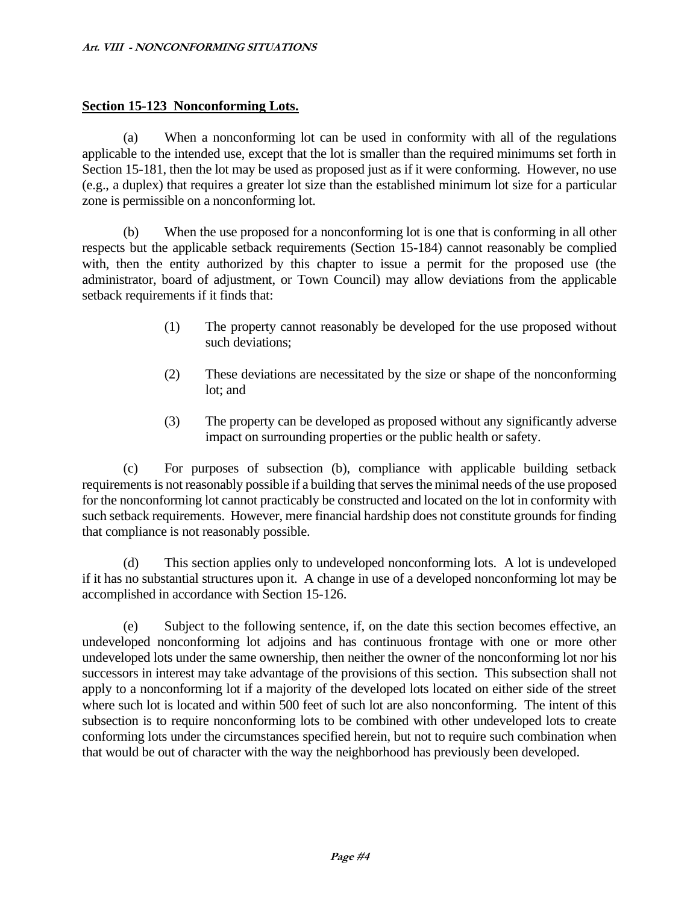### **Section 15-123 Nonconforming Lots.**

(a) When a nonconforming lot can be used in conformity with all of the regulations applicable to the intended use, except that the lot is smaller than the required minimums set forth in Section 15-181, then the lot may be used as proposed just as if it were conforming. However, no use (e.g., a duplex) that requires a greater lot size than the established minimum lot size for a particular zone is permissible on a nonconforming lot.

(b) When the use proposed for a nonconforming lot is one that is conforming in all other respects but the applicable setback requirements (Section 15-184) cannot reasonably be complied with, then the entity authorized by this chapter to issue a permit for the proposed use (the administrator, board of adjustment, or Town Council) may allow deviations from the applicable setback requirements if it finds that:

- (1) The property cannot reasonably be developed for the use proposed without such deviations;
- (2) These deviations are necessitated by the size or shape of the nonconforming lot; and
- (3) The property can be developed as proposed without any significantly adverse impact on surrounding properties or the public health or safety.

(c) For purposes of subsection (b), compliance with applicable building setback requirements is not reasonably possible if a building that serves the minimal needs of the use proposed for the nonconforming lot cannot practicably be constructed and located on the lot in conformity with such setback requirements. However, mere financial hardship does not constitute grounds for finding that compliance is not reasonably possible.

(d) This section applies only to undeveloped nonconforming lots. A lot is undeveloped if it has no substantial structures upon it. A change in use of a developed nonconforming lot may be accomplished in accordance with Section 15-126.

(e) Subject to the following sentence, if, on the date this section becomes effective, an undeveloped nonconforming lot adjoins and has continuous frontage with one or more other undeveloped lots under the same ownership, then neither the owner of the nonconforming lot nor his successors in interest may take advantage of the provisions of this section. This subsection shall not apply to a nonconforming lot if a majority of the developed lots located on either side of the street where such lot is located and within 500 feet of such lot are also nonconforming. The intent of this subsection is to require nonconforming lots to be combined with other undeveloped lots to create conforming lots under the circumstances specified herein, but not to require such combination when that would be out of character with the way the neighborhood has previously been developed.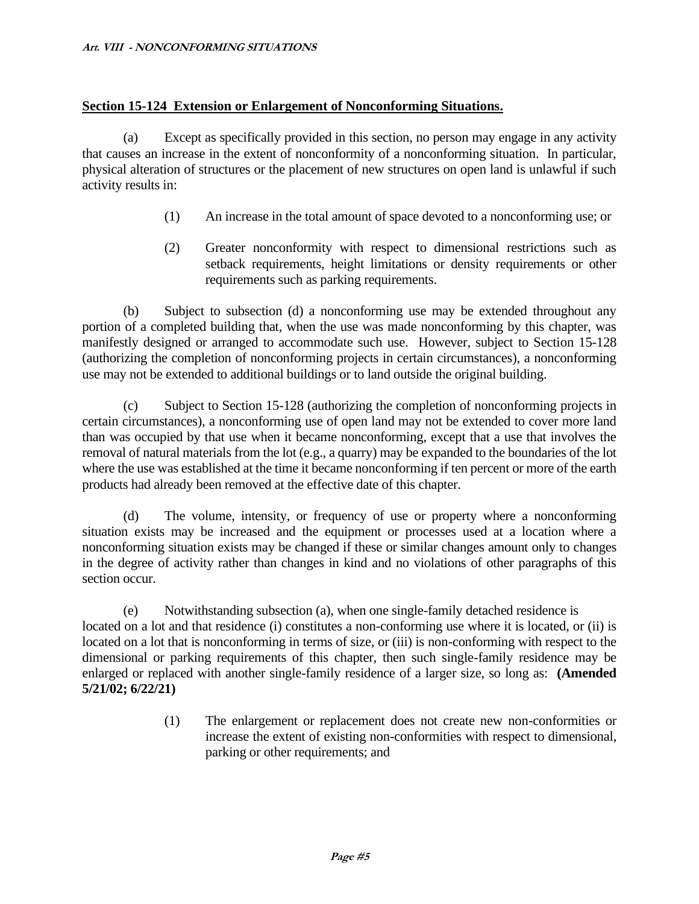### **Section 15-124 Extension or Enlargement of Nonconforming Situations.**

(a) Except as specifically provided in this section, no person may engage in any activity that causes an increase in the extent of nonconformity of a nonconforming situation. In particular, physical alteration of structures or the placement of new structures on open land is unlawful if such activity results in:

- (1) An increase in the total amount of space devoted to a nonconforming use; or
- (2) Greater nonconformity with respect to dimensional restrictions such as setback requirements, height limitations or density requirements or other requirements such as parking requirements.

(b) Subject to subsection (d) a nonconforming use may be extended throughout any portion of a completed building that, when the use was made nonconforming by this chapter, was manifestly designed or arranged to accommodate such use. However, subject to Section 15-128 (authorizing the completion of nonconforming projects in certain circumstances), a nonconforming use may not be extended to additional buildings or to land outside the original building.

(c) Subject to Section 15-128 (authorizing the completion of nonconforming projects in certain circumstances), a nonconforming use of open land may not be extended to cover more land than was occupied by that use when it became nonconforming, except that a use that involves the removal of natural materials from the lot (e.g., a quarry) may be expanded to the boundaries of the lot where the use was established at the time it became nonconforming if ten percent or more of the earth products had already been removed at the effective date of this chapter.

(d) The volume, intensity, or frequency of use or property where a nonconforming situation exists may be increased and the equipment or processes used at a location where a nonconforming situation exists may be changed if these or similar changes amount only to changes in the degree of activity rather than changes in kind and no violations of other paragraphs of this section occur.

(e) Notwithstanding subsection (a), when one single-family detached residence is located on a lot and that residence (i) constitutes a non-conforming use where it is located, or (ii) is located on a lot that is nonconforming in terms of size, or (iii) is non-conforming with respect to the dimensional or parking requirements of this chapter, then such single-family residence may be enlarged or replaced with another single-family residence of a larger size, so long as: **(Amended 5/21/02; 6/22/21)**

> (1) The enlargement or replacement does not create new non-conformities or increase the extent of existing non-conformities with respect to dimensional, parking or other requirements; and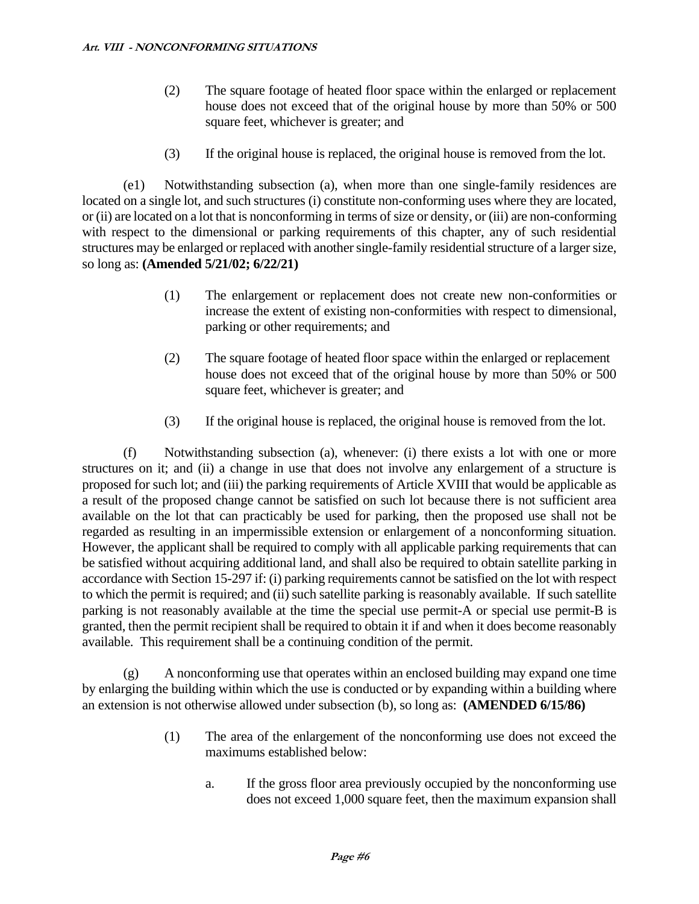- (2) The square footage of heated floor space within the enlarged or replacement house does not exceed that of the original house by more than 50% or 500 square feet, whichever is greater; and
- (3) If the original house is replaced, the original house is removed from the lot.

(e1) Notwithstanding subsection (a), when more than one single-family residences are located on a single lot, and such structures (i) constitute non-conforming uses where they are located, or (ii) are located on a lot that is nonconforming in terms of size or density, or (iii) are non-conforming with respect to the dimensional or parking requirements of this chapter, any of such residential structures may be enlarged or replaced with another single-family residential structure of a larger size, so long as: **(Amended 5/21/02; 6/22/21)**

- (1) The enlargement or replacement does not create new non-conformities or increase the extent of existing non-conformities with respect to dimensional, parking or other requirements; and
- (2) The square footage of heated floor space within the enlarged or replacement house does not exceed that of the original house by more than 50% or 500 square feet, whichever is greater; and
- (3) If the original house is replaced, the original house is removed from the lot.

(f) Notwithstanding subsection (a), whenever: (i) there exists a lot with one or more structures on it; and (ii) a change in use that does not involve any enlargement of a structure is proposed for such lot; and (iii) the parking requirements of Article XVIII that would be applicable as a result of the proposed change cannot be satisfied on such lot because there is not sufficient area available on the lot that can practicably be used for parking, then the proposed use shall not be regarded as resulting in an impermissible extension or enlargement of a nonconforming situation. However, the applicant shall be required to comply with all applicable parking requirements that can be satisfied without acquiring additional land, and shall also be required to obtain satellite parking in accordance with Section 15-297 if: (i) parking requirements cannot be satisfied on the lot with respect to which the permit is required; and (ii) such satellite parking is reasonably available. If such satellite parking is not reasonably available at the time the special use permit-A or special use permit-B is granted, then the permit recipient shall be required to obtain it if and when it does become reasonably available. This requirement shall be a continuing condition of the permit.

(g) A nonconforming use that operates within an enclosed building may expand one time by enlarging the building within which the use is conducted or by expanding within a building where an extension is not otherwise allowed under subsection (b), so long as: **(AMENDED 6/15/86)**

- (1) The area of the enlargement of the nonconforming use does not exceed the maximums established below:
	- a. If the gross floor area previously occupied by the nonconforming use does not exceed 1,000 square feet, then the maximum expansion shall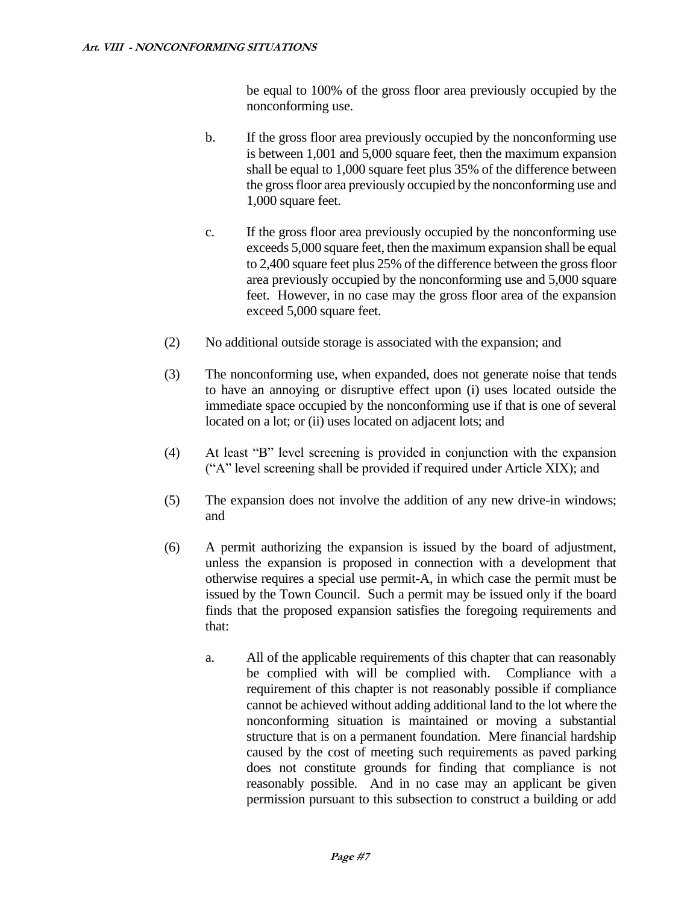be equal to 100% of the gross floor area previously occupied by the nonconforming use.

- b. If the gross floor area previously occupied by the nonconforming use is between 1,001 and 5,000 square feet, then the maximum expansion shall be equal to 1,000 square feet plus 35% of the difference between the gross floor area previously occupied by the nonconforming use and 1,000 square feet.
- c. If the gross floor area previously occupied by the nonconforming use exceeds 5,000 square feet, then the maximum expansion shall be equal to 2,400 square feet plus 25% of the difference between the gross floor area previously occupied by the nonconforming use and 5,000 square feet. However, in no case may the gross floor area of the expansion exceed 5,000 square feet.
- (2) No additional outside storage is associated with the expansion; and
- (3) The nonconforming use, when expanded, does not generate noise that tends to have an annoying or disruptive effect upon (i) uses located outside the immediate space occupied by the nonconforming use if that is one of several located on a lot; or (ii) uses located on adjacent lots; and
- (4) At least "B" level screening is provided in conjunction with the expansion ("A" level screening shall be provided if required under Article XIX); and
- (5) The expansion does not involve the addition of any new drive-in windows; and
- (6) A permit authorizing the expansion is issued by the board of adjustment, unless the expansion is proposed in connection with a development that otherwise requires a special use permit-A, in which case the permit must be issued by the Town Council. Such a permit may be issued only if the board finds that the proposed expansion satisfies the foregoing requirements and that:
	- a. All of the applicable requirements of this chapter that can reasonably be complied with will be complied with. Compliance with a requirement of this chapter is not reasonably possible if compliance cannot be achieved without adding additional land to the lot where the nonconforming situation is maintained or moving a substantial structure that is on a permanent foundation. Mere financial hardship caused by the cost of meeting such requirements as paved parking does not constitute grounds for finding that compliance is not reasonably possible. And in no case may an applicant be given permission pursuant to this subsection to construct a building or add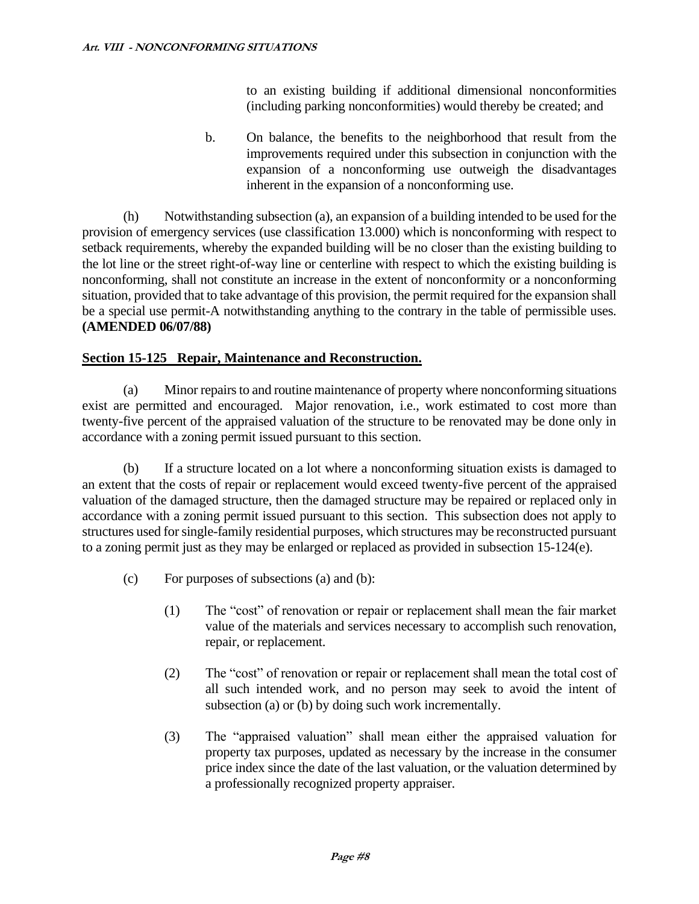to an existing building if additional dimensional nonconformities (including parking nonconformities) would thereby be created; and

b. On balance, the benefits to the neighborhood that result from the improvements required under this subsection in conjunction with the expansion of a nonconforming use outweigh the disadvantages inherent in the expansion of a nonconforming use.

(h) Notwithstanding subsection (a), an expansion of a building intended to be used for the provision of emergency services (use classification 13.000) which is nonconforming with respect to setback requirements, whereby the expanded building will be no closer than the existing building to the lot line or the street right-of-way line or centerline with respect to which the existing building is nonconforming, shall not constitute an increase in the extent of nonconformity or a nonconforming situation, provided that to take advantage of this provision, the permit required for the expansion shall be a special use permit-A notwithstanding anything to the contrary in the table of permissible uses. **(AMENDED 06/07/88)**

### **Section 15-125 Repair, Maintenance and Reconstruction.**

(a) Minor repairs to and routine maintenance of property where nonconforming situations exist are permitted and encouraged. Major renovation, i.e., work estimated to cost more than twenty-five percent of the appraised valuation of the structure to be renovated may be done only in accordance with a zoning permit issued pursuant to this section.

(b) If a structure located on a lot where a nonconforming situation exists is damaged to an extent that the costs of repair or replacement would exceed twenty-five percent of the appraised valuation of the damaged structure, then the damaged structure may be repaired or replaced only in accordance with a zoning permit issued pursuant to this section. This subsection does not apply to structures used for single-family residential purposes, which structures may be reconstructed pursuant to a zoning permit just as they may be enlarged or replaced as provided in subsection 15-124(e).

- (c) For purposes of subsections (a) and (b):
	- (1) The "cost" of renovation or repair or replacement shall mean the fair market value of the materials and services necessary to accomplish such renovation, repair, or replacement.
	- (2) The "cost" of renovation or repair or replacement shall mean the total cost of all such intended work, and no person may seek to avoid the intent of subsection (a) or (b) by doing such work incrementally.
	- (3) The "appraised valuation" shall mean either the appraised valuation for property tax purposes, updated as necessary by the increase in the consumer price index since the date of the last valuation, or the valuation determined by a professionally recognized property appraiser.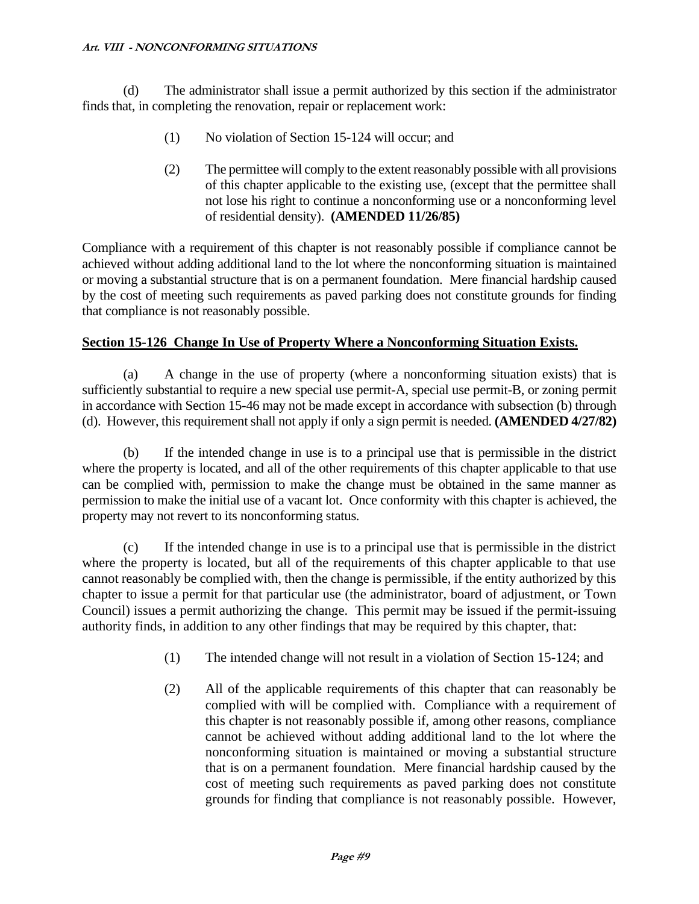(d) The administrator shall issue a permit authorized by this section if the administrator finds that, in completing the renovation, repair or replacement work:

- (1) No violation of Section 15-124 will occur; and
- (2) The permittee will comply to the extent reasonably possible with all provisions of this chapter applicable to the existing use, (except that the permittee shall not lose his right to continue a nonconforming use or a nonconforming level of residential density). **(AMENDED 11/26/85)**

Compliance with a requirement of this chapter is not reasonably possible if compliance cannot be achieved without adding additional land to the lot where the nonconforming situation is maintained or moving a substantial structure that is on a permanent foundation. Mere financial hardship caused by the cost of meeting such requirements as paved parking does not constitute grounds for finding that compliance is not reasonably possible.

### **Section 15-126 Change In Use of Property Where a Nonconforming Situation Exists.**

(a) A change in the use of property (where a nonconforming situation exists) that is sufficiently substantial to require a new special use permit-A, special use permit-B, or zoning permit in accordance with Section 15-46 may not be made except in accordance with subsection (b) through (d). However, this requirement shall not apply if only a sign permit is needed. **(AMENDED 4/27/82)**

(b) If the intended change in use is to a principal use that is permissible in the district where the property is located, and all of the other requirements of this chapter applicable to that use can be complied with, permission to make the change must be obtained in the same manner as permission to make the initial use of a vacant lot. Once conformity with this chapter is achieved, the property may not revert to its nonconforming status.

(c) If the intended change in use is to a principal use that is permissible in the district where the property is located, but all of the requirements of this chapter applicable to that use cannot reasonably be complied with, then the change is permissible, if the entity authorized by this chapter to issue a permit for that particular use (the administrator, board of adjustment, or Town Council) issues a permit authorizing the change. This permit may be issued if the permit-issuing authority finds, in addition to any other findings that may be required by this chapter, that:

- (1) The intended change will not result in a violation of Section 15-124; and
- (2) All of the applicable requirements of this chapter that can reasonably be complied with will be complied with. Compliance with a requirement of this chapter is not reasonably possible if, among other reasons, compliance cannot be achieved without adding additional land to the lot where the nonconforming situation is maintained or moving a substantial structure that is on a permanent foundation. Mere financial hardship caused by the cost of meeting such requirements as paved parking does not constitute grounds for finding that compliance is not reasonably possible. However,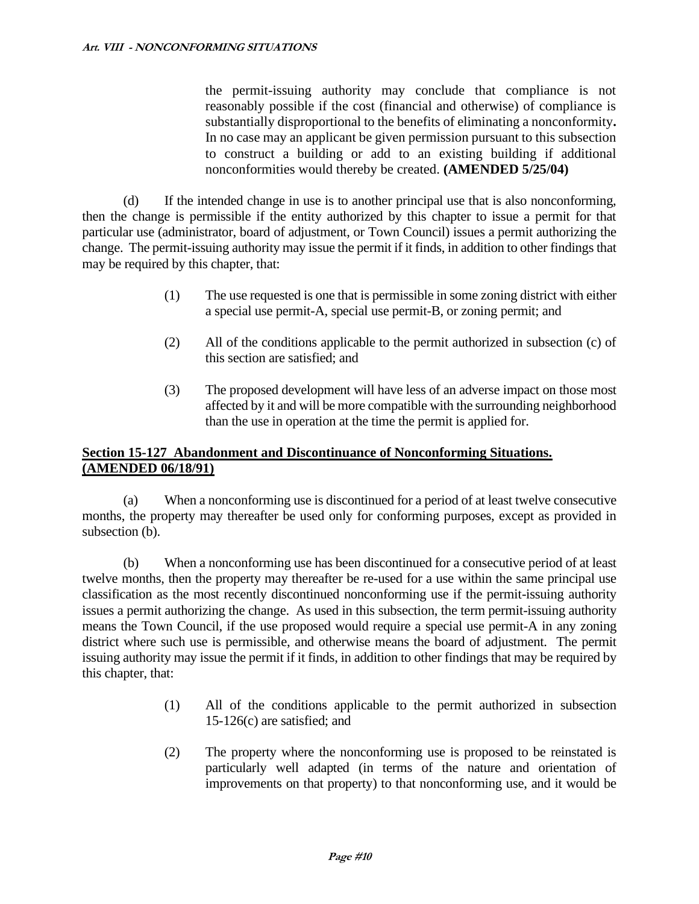the permit-issuing authority may conclude that compliance is not reasonably possible if the cost (financial and otherwise) of compliance is substantially disproportional to the benefits of eliminating a nonconformity**.**  In no case may an applicant be given permission pursuant to this subsection to construct a building or add to an existing building if additional nonconformities would thereby be created. **(AMENDED 5/25/04)**

(d) If the intended change in use is to another principal use that is also nonconforming, then the change is permissible if the entity authorized by this chapter to issue a permit for that particular use (administrator, board of adjustment, or Town Council) issues a permit authorizing the change. The permit-issuing authority may issue the permit if it finds, in addition to other findings that may be required by this chapter, that:

- (1) The use requested is one that is permissible in some zoning district with either a special use permit-A, special use permit-B, or zoning permit; and
- (2) All of the conditions applicable to the permit authorized in subsection (c) of this section are satisfied; and
- (3) The proposed development will have less of an adverse impact on those most affected by it and will be more compatible with the surrounding neighborhood than the use in operation at the time the permit is applied for.

# **Section 15-127 Abandonment and Discontinuance of Nonconforming Situations. (AMENDED 06/18/91)**

(a) When a nonconforming use is discontinued for a period of at least twelve consecutive months, the property may thereafter be used only for conforming purposes, except as provided in subsection (b).

(b) When a nonconforming use has been discontinued for a consecutive period of at least twelve months, then the property may thereafter be re-used for a use within the same principal use classification as the most recently discontinued nonconforming use if the permit-issuing authority issues a permit authorizing the change. As used in this subsection, the term permit-issuing authority means the Town Council, if the use proposed would require a special use permit-A in any zoning district where such use is permissible, and otherwise means the board of adjustment. The permit issuing authority may issue the permit if it finds, in addition to other findings that may be required by this chapter, that:

- (1) All of the conditions applicable to the permit authorized in subsection 15-126(c) are satisfied; and
- (2) The property where the nonconforming use is proposed to be reinstated is particularly well adapted (in terms of the nature and orientation of improvements on that property) to that nonconforming use, and it would be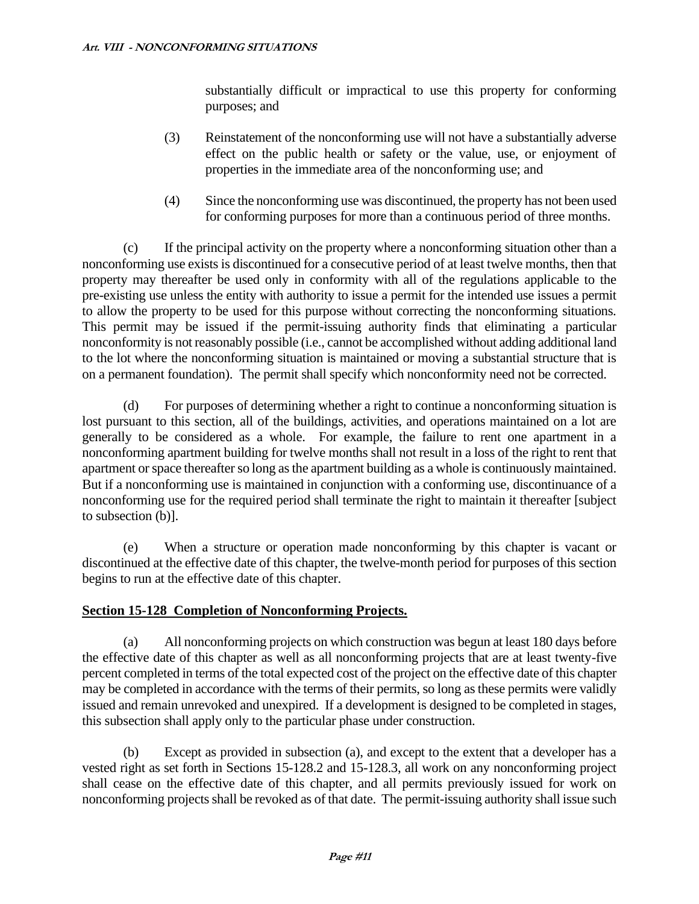substantially difficult or impractical to use this property for conforming purposes; and

- (3) Reinstatement of the nonconforming use will not have a substantially adverse effect on the public health or safety or the value, use, or enjoyment of properties in the immediate area of the nonconforming use; and
- (4) Since the nonconforming use was discontinued, the property has not been used for conforming purposes for more than a continuous period of three months.

(c) If the principal activity on the property where a nonconforming situation other than a nonconforming use exists is discontinued for a consecutive period of at least twelve months, then that property may thereafter be used only in conformity with all of the regulations applicable to the pre-existing use unless the entity with authority to issue a permit for the intended use issues a permit to allow the property to be used for this purpose without correcting the nonconforming situations. This permit may be issued if the permit-issuing authority finds that eliminating a particular nonconformity is not reasonably possible (i.e., cannot be accomplished without adding additional land to the lot where the nonconforming situation is maintained or moving a substantial structure that is on a permanent foundation). The permit shall specify which nonconformity need not be corrected.

(d) For purposes of determining whether a right to continue a nonconforming situation is lost pursuant to this section, all of the buildings, activities, and operations maintained on a lot are generally to be considered as a whole. For example, the failure to rent one apartment in a nonconforming apartment building for twelve months shall not result in a loss of the right to rent that apartment or space thereafter so long as the apartment building as a whole is continuously maintained. But if a nonconforming use is maintained in conjunction with a conforming use, discontinuance of a nonconforming use for the required period shall terminate the right to maintain it thereafter [subject to subsection (b)].

(e) When a structure or operation made nonconforming by this chapter is vacant or discontinued at the effective date of this chapter, the twelve-month period for purposes of this section begins to run at the effective date of this chapter.

# **Section 15-128 Completion of Nonconforming Projects.**

(a) All nonconforming projects on which construction was begun at least 180 days before the effective date of this chapter as well as all nonconforming projects that are at least twenty-five percent completed in terms of the total expected cost of the project on the effective date of this chapter may be completed in accordance with the terms of their permits, so long as these permits were validly issued and remain unrevoked and unexpired. If a development is designed to be completed in stages, this subsection shall apply only to the particular phase under construction.

(b) Except as provided in subsection (a), and except to the extent that a developer has a vested right as set forth in Sections 15-128.2 and 15-128.3, all work on any nonconforming project shall cease on the effective date of this chapter, and all permits previously issued for work on nonconforming projects shall be revoked as of that date. The permit-issuing authority shall issue such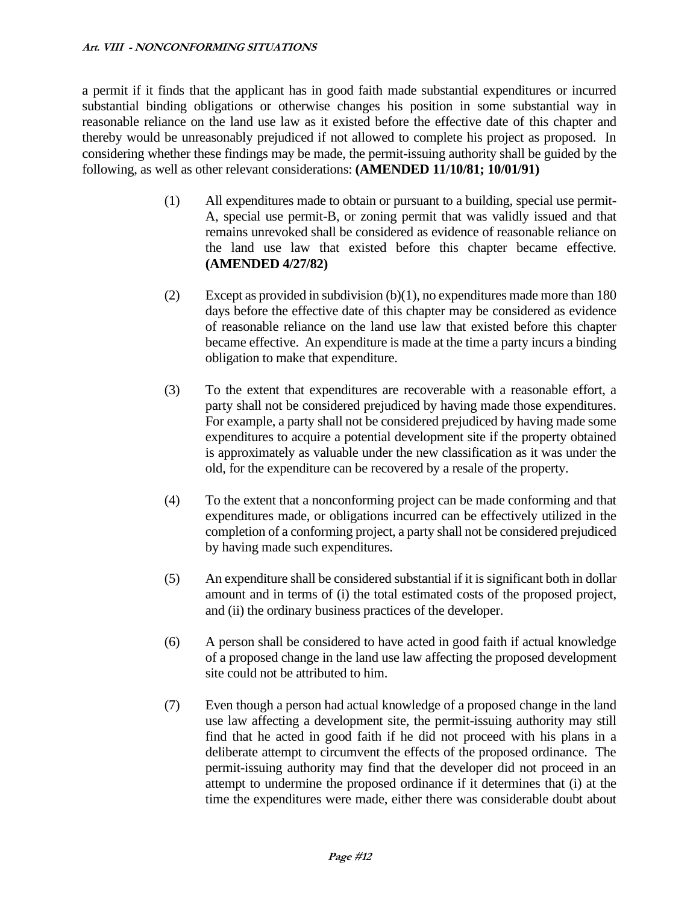a permit if it finds that the applicant has in good faith made substantial expenditures or incurred substantial binding obligations or otherwise changes his position in some substantial way in reasonable reliance on the land use law as it existed before the effective date of this chapter and thereby would be unreasonably prejudiced if not allowed to complete his project as proposed. In considering whether these findings may be made, the permit-issuing authority shall be guided by the following, as well as other relevant considerations: **(AMENDED 11/10/81; 10/01/91)**

- (1) All expenditures made to obtain or pursuant to a building, special use permit-A, special use permit-B, or zoning permit that was validly issued and that remains unrevoked shall be considered as evidence of reasonable reliance on the land use law that existed before this chapter became effective. **(AMENDED 4/27/82)**
- (2) Except as provided in subdivision (b)(1), no expenditures made more than 180 days before the effective date of this chapter may be considered as evidence of reasonable reliance on the land use law that existed before this chapter became effective. An expenditure is made at the time a party incurs a binding obligation to make that expenditure.
- (3) To the extent that expenditures are recoverable with a reasonable effort, a party shall not be considered prejudiced by having made those expenditures. For example, a party shall not be considered prejudiced by having made some expenditures to acquire a potential development site if the property obtained is approximately as valuable under the new classification as it was under the old, for the expenditure can be recovered by a resale of the property.
- (4) To the extent that a nonconforming project can be made conforming and that expenditures made, or obligations incurred can be effectively utilized in the completion of a conforming project, a party shall not be considered prejudiced by having made such expenditures.
- (5) An expenditure shall be considered substantial if it is significant both in dollar amount and in terms of (i) the total estimated costs of the proposed project, and (ii) the ordinary business practices of the developer.
- (6) A person shall be considered to have acted in good faith if actual knowledge of a proposed change in the land use law affecting the proposed development site could not be attributed to him.
- (7) Even though a person had actual knowledge of a proposed change in the land use law affecting a development site, the permit-issuing authority may still find that he acted in good faith if he did not proceed with his plans in a deliberate attempt to circumvent the effects of the proposed ordinance. The permit-issuing authority may find that the developer did not proceed in an attempt to undermine the proposed ordinance if it determines that (i) at the time the expenditures were made, either there was considerable doubt about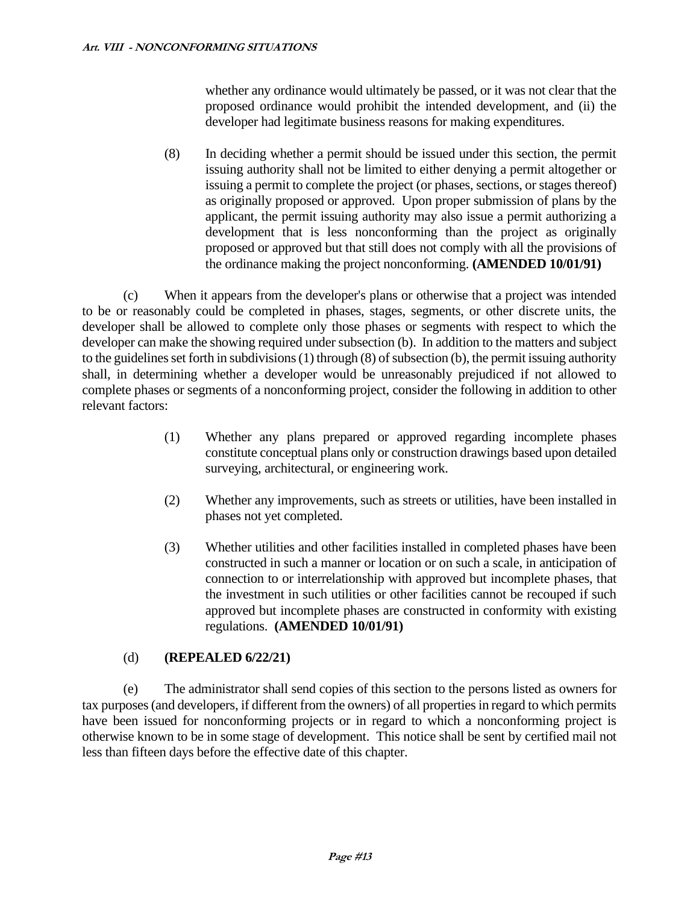whether any ordinance would ultimately be passed, or it was not clear that the proposed ordinance would prohibit the intended development, and (ii) the developer had legitimate business reasons for making expenditures.

(8) In deciding whether a permit should be issued under this section, the permit issuing authority shall not be limited to either denying a permit altogether or issuing a permit to complete the project (or phases, sections, or stages thereof) as originally proposed or approved. Upon proper submission of plans by the applicant, the permit issuing authority may also issue a permit authorizing a development that is less nonconforming than the project as originally proposed or approved but that still does not comply with all the provisions of the ordinance making the project nonconforming. **(AMENDED 10/01/91)**

(c) When it appears from the developer's plans or otherwise that a project was intended to be or reasonably could be completed in phases, stages, segments, or other discrete units, the developer shall be allowed to complete only those phases or segments with respect to which the developer can make the showing required under subsection (b). In addition to the matters and subject to the guidelines set forth in subdivisions (1) through (8) of subsection (b), the permit issuing authority shall, in determining whether a developer would be unreasonably prejudiced if not allowed to complete phases or segments of a nonconforming project, consider the following in addition to other relevant factors:

- (1) Whether any plans prepared or approved regarding incomplete phases constitute conceptual plans only or construction drawings based upon detailed surveying, architectural, or engineering work.
- (2) Whether any improvements, such as streets or utilities, have been installed in phases not yet completed.
- (3) Whether utilities and other facilities installed in completed phases have been constructed in such a manner or location or on such a scale, in anticipation of connection to or interrelationship with approved but incomplete phases, that the investment in such utilities or other facilities cannot be recouped if such approved but incomplete phases are constructed in conformity with existing regulations. **(AMENDED 10/01/91)**

# (d) **(REPEALED 6/22/21)**

(e) The administrator shall send copies of this section to the persons listed as owners for tax purposes (and developers, if different from the owners) of all properties in regard to which permits have been issued for nonconforming projects or in regard to which a nonconforming project is otherwise known to be in some stage of development. This notice shall be sent by certified mail not less than fifteen days before the effective date of this chapter.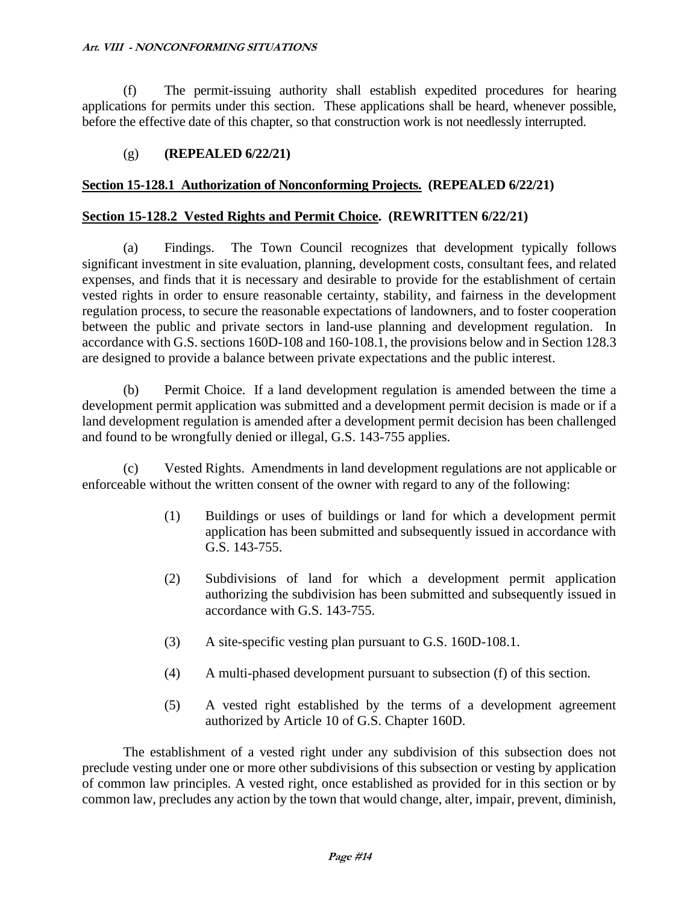(f) The permit-issuing authority shall establish expedited procedures for hearing applications for permits under this section. These applications shall be heard, whenever possible, before the effective date of this chapter, so that construction work is not needlessly interrupted.

# (g) **(REPEALED 6/22/21)**

### **Section 15-128.1 Authorization of Nonconforming Projects. (REPEALED 6/22/21)**

### **Section 15-128.2 Vested Rights and Permit Choice. (REWRITTEN 6/22/21)**

(a) Findings. The Town Council recognizes that development typically follows significant investment in site evaluation, planning, development costs, consultant fees, and related expenses, and finds that it is necessary and desirable to provide for the establishment of certain vested rights in order to ensure reasonable certainty, stability, and fairness in the development regulation process, to secure the reasonable expectations of landowners, and to foster cooperation between the public and private sectors in land-use planning and development regulation. In accordance with G.S. sections 160D-108 and 160-108.1, the provisions below and in Section 128.3 are designed to provide a balance between private expectations and the public interest.

(b) Permit Choice. If a land development regulation is amended between the time a development permit application was submitted and a development permit decision is made or if a land development regulation is amended after a development permit decision has been challenged and found to be wrongfully denied or illegal, G.S. 143-755 applies.

(c) Vested Rights. Amendments in land development regulations are not applicable or enforceable without the written consent of the owner with regard to any of the following:

- (1) Buildings or uses of buildings or land for which a development permit application has been submitted and subsequently issued in accordance with G.S. 143-755.
- (2) Subdivisions of land for which a development permit application authorizing the subdivision has been submitted and subsequently issued in accordance with G.S. 143-755.
- (3) A site-specific vesting plan pursuant to G.S. 160D-108.1.
- (4) A multi-phased development pursuant to subsection (f) of this section*.*
- (5) A vested right established by the terms of a development agreement authorized by Article 10 of G.S. Chapter 160D.

The establishment of a vested right under any subdivision of this subsection does not preclude vesting under one or more other subdivisions of this subsection or vesting by application of common law principles. A vested right, once established as provided for in this section or by common law, precludes any action by the town that would change, alter, impair, prevent, diminish,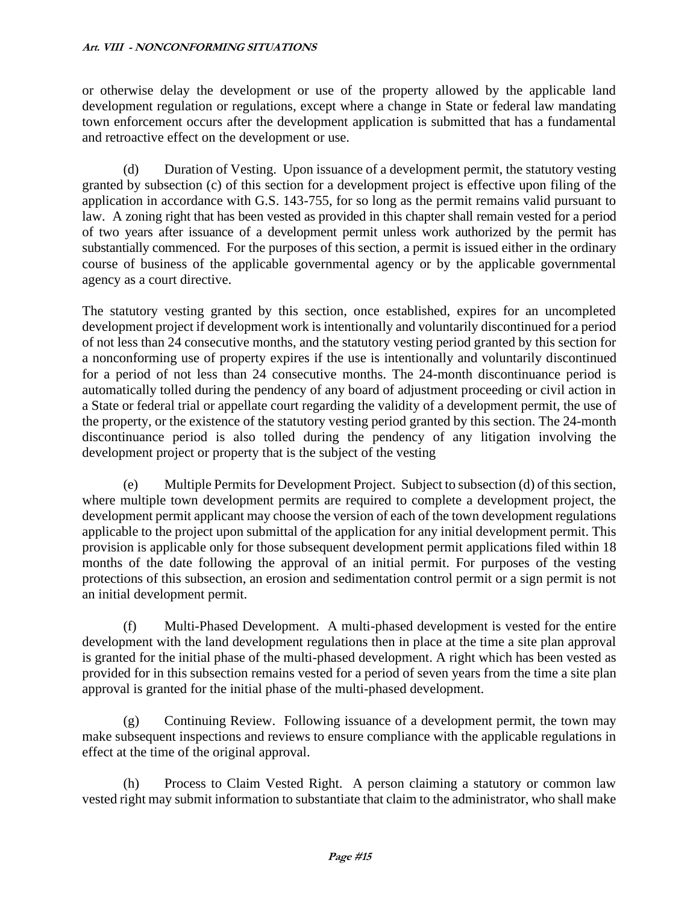or otherwise delay the development or use of the property allowed by the applicable land development regulation or regulations, except where a change in State or federal law mandating town enforcement occurs after the development application is submitted that has a fundamental and retroactive effect on the development or use.

(d) Duration of Vesting. Upon issuance of a development permit, the statutory vesting granted by subsection (c) of this section for a development project is effective upon filing of the application in accordance with G.S. 143-755, for so long as the permit remains valid pursuant to law. A zoning right that has been vested as provided in this chapter shall remain vested for a period of two years after issuance of a development permit unless work authorized by the permit has substantially commenced. For the purposes of this section, a permit is issued either in the ordinary course of business of the applicable governmental agency or by the applicable governmental agency as a court directive.

The statutory vesting granted by this section, once established, expires for an uncompleted development project if development work is intentionally and voluntarily discontinued for a period of not less than 24 consecutive months, and the statutory vesting period granted by this section for a nonconforming use of property expires if the use is intentionally and voluntarily discontinued for a period of not less than 24 consecutive months. The 24-month discontinuance period is automatically tolled during the pendency of any board of adjustment proceeding or civil action in a State or federal trial or appellate court regarding the validity of a development permit, the use of the property, or the existence of the statutory vesting period granted by this section. The 24-month discontinuance period is also tolled during the pendency of any litigation involving the development project or property that is the subject of the vesting

(e) Multiple Permits for Development Project. Subject to subsection (d) of this section, where multiple town development permits are required to complete a development project, the development permit applicant may choose the version of each of the town development regulations applicable to the project upon submittal of the application for any initial development permit. This provision is applicable only for those subsequent development permit applications filed within 18 months of the date following the approval of an initial permit. For purposes of the vesting protections of this subsection, an erosion and sedimentation control permit or a sign permit is not an initial development permit.

(f) Multi-Phased Development. A multi-phased development is vested for the entire development with the land development regulations then in place at the time a site plan approval is granted for the initial phase of the multi-phased development. A right which has been vested as provided for in this subsection remains vested for a period of seven years from the time a site plan approval is granted for the initial phase of the multi-phased development.

(g) Continuing Review. Following issuance of a development permit, the town may make subsequent inspections and reviews to ensure compliance with the applicable regulations in effect at the time of the original approval.

(h) Process to Claim Vested Right. A person claiming a statutory or common law vested right may submit information to substantiate that claim to the administrator, who shall make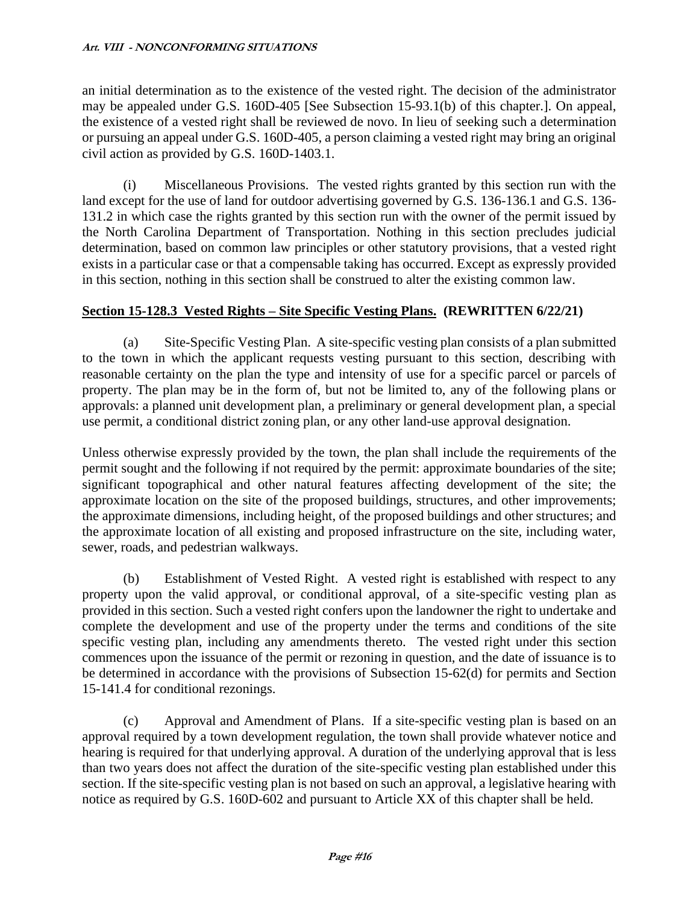an initial determination as to the existence of the vested right. The decision of the administrator may be appealed under G.S. 160D-405 [See Subsection 15-93.1(b) of this chapter.]. On appeal, the existence of a vested right shall be reviewed de novo. In lieu of seeking such a determination or pursuing an appeal under G.S. 160D-405, a person claiming a vested right may bring an original civil action as provided by G.S. 160D-1403.1.

(i) Miscellaneous Provisions. The vested rights granted by this section run with the land except for the use of land for outdoor advertising governed by G.S. 136-136.1 and G.S. 136- 131.2 in which case the rights granted by this section run with the owner of the permit issued by the North Carolina Department of Transportation. Nothing in this section precludes judicial determination, based on common law principles or other statutory provisions, that a vested right exists in a particular case or that a compensable taking has occurred. Except as expressly provided in this section, nothing in this section shall be construed to alter the existing common law.

# **Section 15-128.3 Vested Rights – Site Specific Vesting Plans. (REWRITTEN 6/22/21)**

(a) Site-Specific Vesting Plan. A site-specific vesting plan consists of a plan submitted to the town in which the applicant requests vesting pursuant to this section, describing with reasonable certainty on the plan the type and intensity of use for a specific parcel or parcels of property. The plan may be in the form of, but not be limited to, any of the following plans or approvals: a planned unit development plan, a preliminary or general development plan, a special use permit, a conditional district zoning plan, or any other land-use approval designation.

Unless otherwise expressly provided by the town, the plan shall include the requirements of the permit sought and the following if not required by the permit: approximate boundaries of the site; significant topographical and other natural features affecting development of the site; the approximate location on the site of the proposed buildings, structures, and other improvements; the approximate dimensions, including height, of the proposed buildings and other structures; and the approximate location of all existing and proposed infrastructure on the site, including water, sewer, roads, and pedestrian walkways.

(b) Establishment of Vested Right. A vested right is established with respect to any property upon the valid approval, or conditional approval, of a site-specific vesting plan as provided in this section. Such a vested right confers upon the landowner the right to undertake and complete the development and use of the property under the terms and conditions of the site specific vesting plan, including any amendments thereto. The vested right under this section commences upon the issuance of the permit or rezoning in question, and the date of issuance is to be determined in accordance with the provisions of Subsection 15-62(d) for permits and Section 15-141.4 for conditional rezonings.

(c) Approval and Amendment of Plans. If a site-specific vesting plan is based on an approval required by a town development regulation, the town shall provide whatever notice and hearing is required for that underlying approval. A duration of the underlying approval that is less than two years does not affect the duration of the site-specific vesting plan established under this section. If the site-specific vesting plan is not based on such an approval, a legislative hearing with notice as required by G.S. 160D-602 and pursuant to Article XX of this chapter shall be held.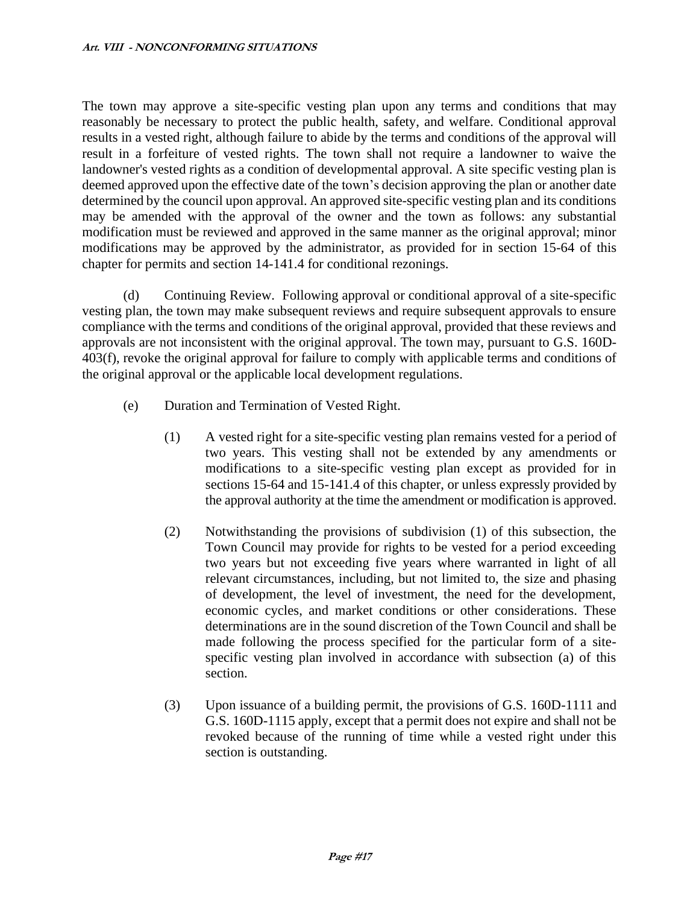The town may approve a site-specific vesting plan upon any terms and conditions that may reasonably be necessary to protect the public health, safety, and welfare. Conditional approval results in a vested right, although failure to abide by the terms and conditions of the approval will result in a forfeiture of vested rights. The town shall not require a landowner to waive the landowner's vested rights as a condition of developmental approval. A site specific vesting plan is deemed approved upon the effective date of the town's decision approving the plan or another date determined by the council upon approval. An approved site-specific vesting plan and its conditions may be amended with the approval of the owner and the town as follows: any substantial modification must be reviewed and approved in the same manner as the original approval; minor modifications may be approved by the administrator, as provided for in section 15-64 of this chapter for permits and section 14-141.4 for conditional rezonings.

(d) Continuing Review. Following approval or conditional approval of a site-specific vesting plan, the town may make subsequent reviews and require subsequent approvals to ensure compliance with the terms and conditions of the original approval, provided that these reviews and approvals are not inconsistent with the original approval. The town may, pursuant to G.S. 160D-403(f), revoke the original approval for failure to comply with applicable terms and conditions of the original approval or the applicable local development regulations.

- (e) Duration and Termination of Vested Right.
	- (1) A vested right for a site-specific vesting plan remains vested for a period of two years. This vesting shall not be extended by any amendments or modifications to a site-specific vesting plan except as provided for in sections 15-64 and 15-141.4 of this chapter, or unless expressly provided by the approval authority at the time the amendment or modification is approved.
	- (2) Notwithstanding the provisions of subdivision (1) of this subsection, the Town Council may provide for rights to be vested for a period exceeding two years but not exceeding five years where warranted in light of all relevant circumstances, including, but not limited to, the size and phasing of development, the level of investment, the need for the development, economic cycles, and market conditions or other considerations. These determinations are in the sound discretion of the Town Council and shall be made following the process specified for the particular form of a sitespecific vesting plan involved in accordance with subsection (a) of this section.
	- (3) Upon issuance of a building permit, the provisions of G.S. 160D-1111 and G.S. 160D-1115 apply, except that a permit does not expire and shall not be revoked because of the running of time while a vested right under this section is outstanding.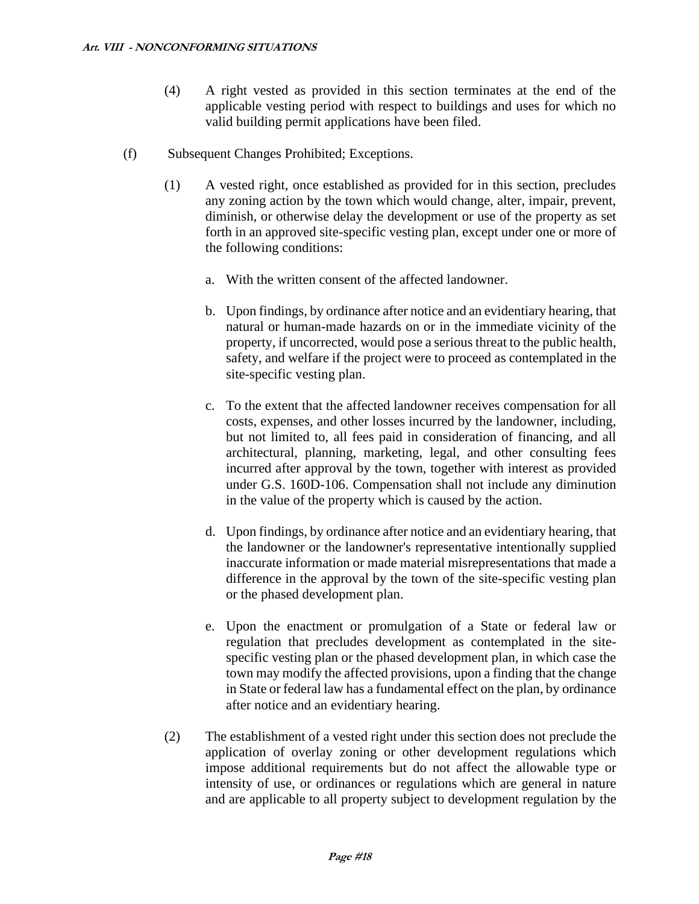- (4) A right vested as provided in this section terminates at the end of the applicable vesting period with respect to buildings and uses for which no valid building permit applications have been filed.
- (f) Subsequent Changes Prohibited; Exceptions.
	- (1) A vested right, once established as provided for in this section, precludes any zoning action by the town which would change, alter, impair, prevent, diminish, or otherwise delay the development or use of the property as set forth in an approved site-specific vesting plan, except under one or more of the following conditions:
		- a. With the written consent of the affected landowner.
		- b. Upon findings, by ordinance after notice and an evidentiary hearing, that natural or human-made hazards on or in the immediate vicinity of the property, if uncorrected, would pose a serious threat to the public health, safety, and welfare if the project were to proceed as contemplated in the site-specific vesting plan.
		- c. To the extent that the affected landowner receives compensation for all costs, expenses, and other losses incurred by the landowner, including, but not limited to, all fees paid in consideration of financing, and all architectural, planning, marketing, legal, and other consulting fees incurred after approval by the town, together with interest as provided under G.S. 160D-106. Compensation shall not include any diminution in the value of the property which is caused by the action.
		- d. Upon findings, by ordinance after notice and an evidentiary hearing, that the landowner or the landowner's representative intentionally supplied inaccurate information or made material misrepresentations that made a difference in the approval by the town of the site-specific vesting plan or the phased development plan.
		- e. Upon the enactment or promulgation of a State or federal law or regulation that precludes development as contemplated in the sitespecific vesting plan or the phased development plan, in which case the town may modify the affected provisions, upon a finding that the change in State or federal law has a fundamental effect on the plan, by ordinance after notice and an evidentiary hearing.
	- (2) The establishment of a vested right under this section does not preclude the application of overlay zoning or other development regulations which impose additional requirements but do not affect the allowable type or intensity of use, or ordinances or regulations which are general in nature and are applicable to all property subject to development regulation by the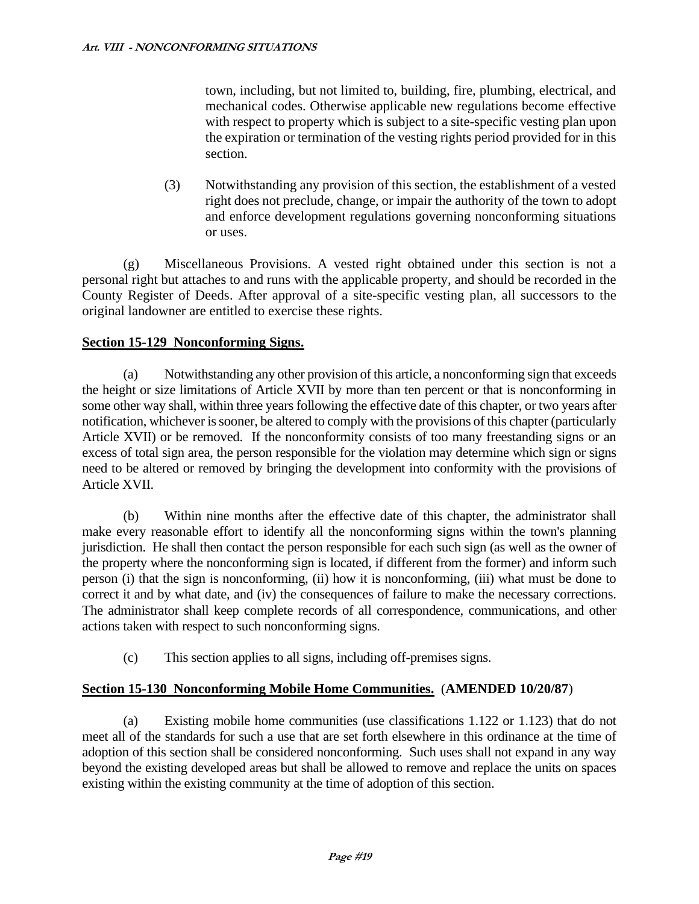town, including, but not limited to, building, fire, plumbing, electrical, and mechanical codes. Otherwise applicable new regulations become effective with respect to property which is subject to a site-specific vesting plan upon the expiration or termination of the vesting rights period provided for in this section.

(3) Notwithstanding any provision of this section, the establishment of a vested right does not preclude, change, or impair the authority of the town to adopt and enforce development regulations governing nonconforming situations or uses.

(g) Miscellaneous Provisions. A vested right obtained under this section is not a personal right but attaches to and runs with the applicable property, and should be recorded in the County Register of Deeds. After approval of a site-specific vesting plan, all successors to the original landowner are entitled to exercise these rights.

# **Section 15-129 Nonconforming Signs.**

(a) Notwithstanding any other provision of this article, a nonconforming sign that exceeds the height or size limitations of Article XVII by more than ten percent or that is nonconforming in some other way shall, within three years following the effective date of this chapter, or two years after notification, whichever is sooner, be altered to comply with the provisions of this chapter (particularly Article XVII) or be removed. If the nonconformity consists of too many freestanding signs or an excess of total sign area, the person responsible for the violation may determine which sign or signs need to be altered or removed by bringing the development into conformity with the provisions of Article XVII.

(b) Within nine months after the effective date of this chapter, the administrator shall make every reasonable effort to identify all the nonconforming signs within the town's planning jurisdiction. He shall then contact the person responsible for each such sign (as well as the owner of the property where the nonconforming sign is located, if different from the former) and inform such person (i) that the sign is nonconforming, (ii) how it is nonconforming, (iii) what must be done to correct it and by what date, and (iv) the consequences of failure to make the necessary corrections. The administrator shall keep complete records of all correspondence, communications, and other actions taken with respect to such nonconforming signs.

(c) This section applies to all signs, including off-premises signs.

# **Section 15-130 Nonconforming Mobile Home Communities.** (**AMENDED 10/20/87**)

(a) Existing mobile home communities (use classifications 1.122 or 1.123) that do not meet all of the standards for such a use that are set forth elsewhere in this ordinance at the time of adoption of this section shall be considered nonconforming. Such uses shall not expand in any way beyond the existing developed areas but shall be allowed to remove and replace the units on spaces existing within the existing community at the time of adoption of this section.